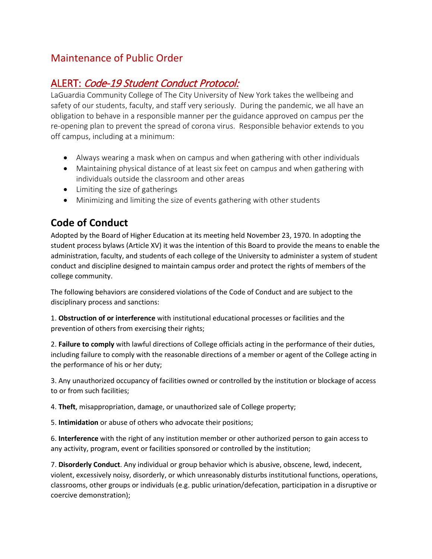## Maintenance of Public Order

## ALERT: Code-19 Student Conduct Protocol:

LaGuardia Community College of The City University of New York takes the wellbeing and safety of our students, faculty, and staff very seriously. During the pandemic, we all have an obligation to behave in a responsible manner per the guidance approved on campus per the re-opening plan to prevent the spread of corona virus. Responsible behavior extends to you off campus, including at a minimum:

- Always wearing a mask when on campus and when gathering with other individuals
- Maintaining physical distance of at least six feet on campus and when gathering with individuals outside the classroom and other areas
- Limiting the size of gatherings
- Minimizing and limiting the size of events gathering with other students

## **Code of Conduct**

Adopted by the Board of Higher Education at its meeting held November 23, 1970. In adopting the student process bylaws (Article XV) it was the intention of this Board to provide the means to enable the administration, faculty, and students of each college of the University to administer a system of student conduct and discipline designed to maintain campus order and protect the rights of members of the college community.

The following behaviors are considered violations of the Code of Conduct and are subject to the disciplinary process and sanctions:

1. **Obstruction of or interference** with institutional educational processes or facilities and the prevention of others from exercising their rights;

2. **Failure to comply** with lawful directions of College officials acting in the performance of their duties, including failure to comply with the reasonable directions of a member or agent of the College acting in the performance of his or her duty;

3. Any unauthorized occupancy of facilities owned or controlled by the institution or blockage of access to or from such facilities;

4. **Theft**, misappropriation, damage, or unauthorized sale of College property;

5. **Intimidation** or abuse of others who advocate their positions;

6. **Interference** with the right of any institution member or other authorized person to gain access to any activity, program, event or facilities sponsored or controlled by the institution;

7. **Disorderly Conduct**. Any individual or group behavior which is abusive, obscene, lewd, indecent, violent, excessively noisy, disorderly, or which unreasonably disturbs institutional functions, operations, classrooms, other groups or individuals (e.g. public urination/defecation, participation in a disruptive or coercive demonstration);